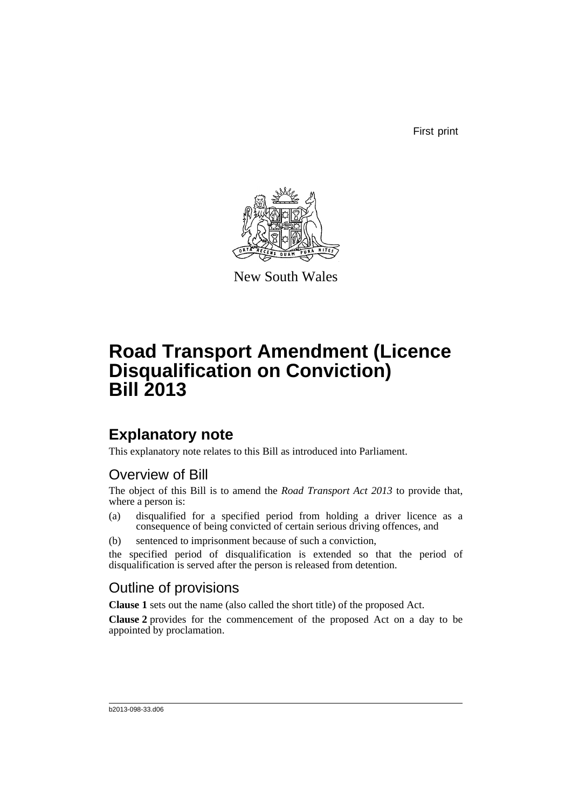First print



New South Wales

# **Road Transport Amendment (Licence Disqualification on Conviction) Bill 2013**

## **Explanatory note**

This explanatory note relates to this Bill as introduced into Parliament.

### Overview of Bill

The object of this Bill is to amend the *Road Transport Act 2013* to provide that, where a person is:

- (a) disqualified for a specified period from holding a driver licence as a consequence of being convicted of certain serious driving offences, and
- (b) sentenced to imprisonment because of such a conviction,

the specified period of disqualification is extended so that the period of disqualification is served after the person is released from detention.

### Outline of provisions

**Clause 1** sets out the name (also called the short title) of the proposed Act.

**Clause 2** provides for the commencement of the proposed Act on a day to be appointed by proclamation.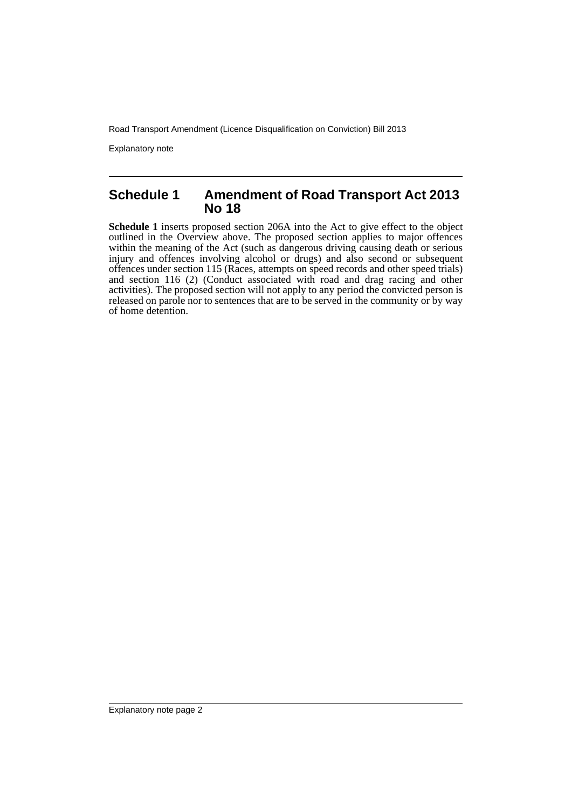Road Transport Amendment (Licence Disqualification on Conviction) Bill 2013

Explanatory note

#### **Schedule 1 Amendment of Road Transport Act 2013 No 18**

**Schedule 1** inserts proposed section 206A into the Act to give effect to the object outlined in the Overview above. The proposed section applies to major offences within the meaning of the Act (such as dangerous driving causing death or serious injury and offences involving alcohol or drugs) and also second or subsequent offences under section 115 (Races, attempts on speed records and other speed trials) and section 116 (2) (Conduct associated with road and drag racing and other activities). The proposed section will not apply to any period the convicted person is released on parole nor to sentences that are to be served in the community or by way of home detention.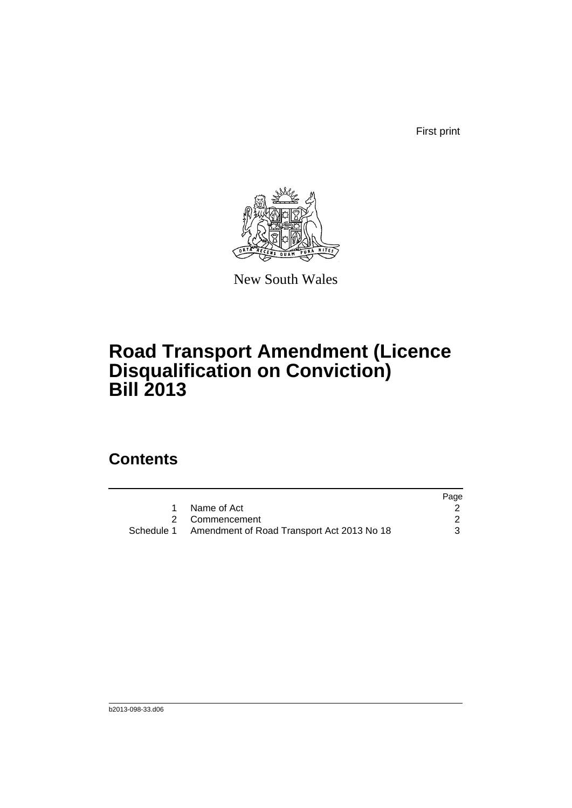First print



New South Wales

# **Road Transport Amendment (Licence Disqualification on Conviction) Bill 2013**

## **Contents**

|                                                       | Page |
|-------------------------------------------------------|------|
| 1 Name of Act                                         |      |
| 2 Commencement                                        |      |
| Schedule 1 Amendment of Road Transport Act 2013 No 18 | 3    |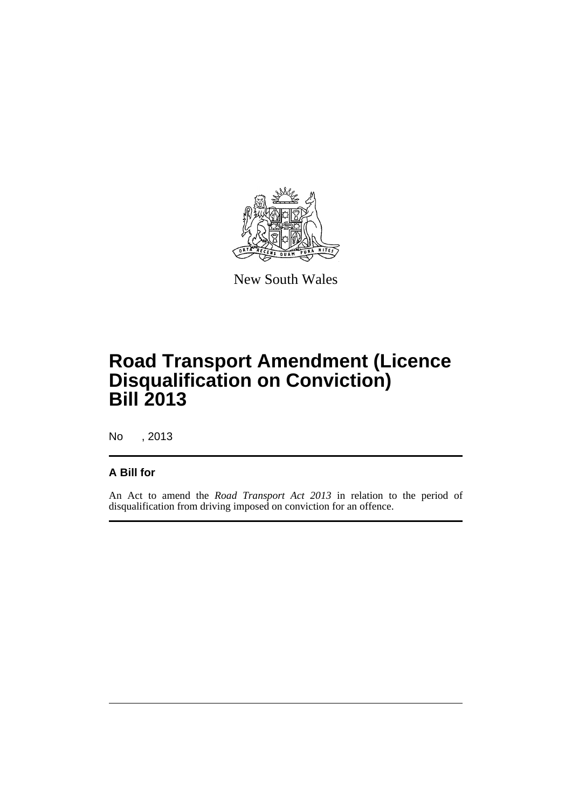

New South Wales

# **Road Transport Amendment (Licence Disqualification on Conviction) Bill 2013**

No , 2013

#### **A Bill for**

An Act to amend the *Road Transport Act 2013* in relation to the period of disqualification from driving imposed on conviction for an offence.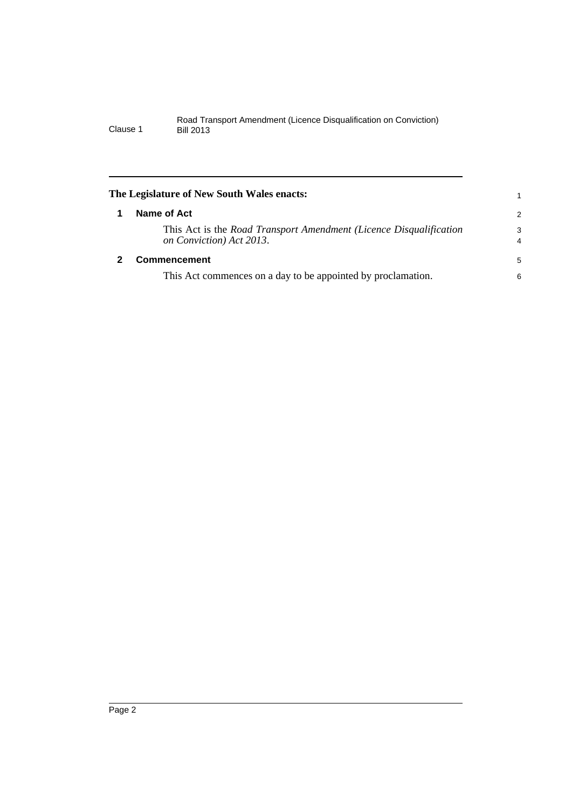<span id="page-5-1"></span><span id="page-5-0"></span>

| The Legislature of New South Wales enacts:                                                     |                     |
|------------------------------------------------------------------------------------------------|---------------------|
| Name of Act                                                                                    | 2                   |
| This Act is the Road Transport Amendment (Licence Disqualification<br>on Conviction) Act 2013. | 3<br>$\overline{4}$ |
| <b>Commencement</b>                                                                            | 5                   |
| This Act commences on a day to be appointed by proclamation.                                   | 6                   |
|                                                                                                |                     |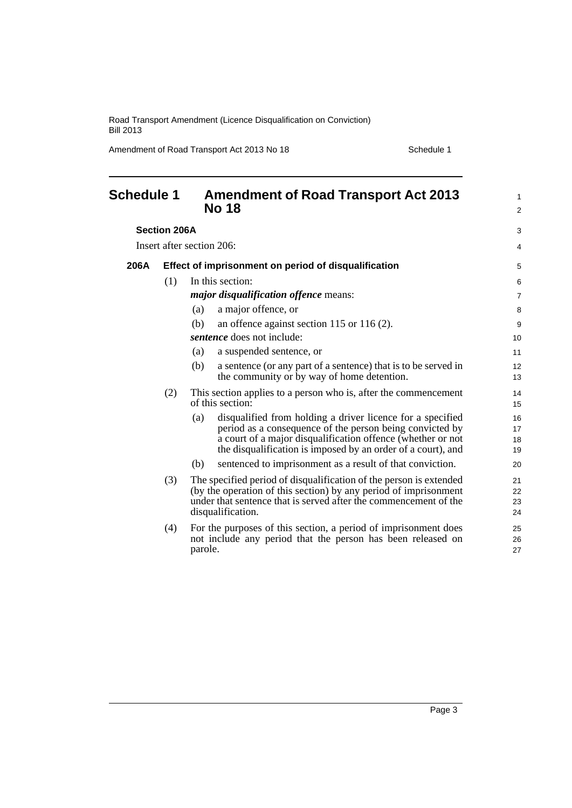Road Transport Amendment (Licence Disqualification on Conviction) Bill 2013

Amendment of Road Transport Act 2013 No 18 Schedule 1

<span id="page-6-0"></span>

| <b>Schedule 1</b>         |     | <b>Amendment of Road Transport Act 2013</b><br><b>No 18</b>                                                                                                                                                                                                  | $\mathbf{1}$<br>2        |
|---------------------------|-----|--------------------------------------------------------------------------------------------------------------------------------------------------------------------------------------------------------------------------------------------------------------|--------------------------|
| <b>Section 206A</b>       |     |                                                                                                                                                                                                                                                              | 3                        |
| Insert after section 206: |     |                                                                                                                                                                                                                                                              |                          |
| 206A                      |     | Effect of imprisonment on period of disqualification                                                                                                                                                                                                         | 5                        |
|                           | (1) | In this section:<br><i>major disqualification offence means:</i><br>a major offence, or<br>(a)                                                                                                                                                               | 6<br>$\overline{7}$<br>8 |
|                           |     | an offence against section 115 or 116 $(2)$ .<br>(b)<br><i>sentence</i> does not include:                                                                                                                                                                    | 9<br>10                  |
|                           |     | a suspended sentence, or<br>(a)<br>(b)<br>a sentence (or any part of a sentence) that is to be served in<br>the community or by way of home detention.                                                                                                       | 11<br>12<br>13           |
|                           | (2) | This section applies to a person who is, after the commencement<br>of this section:                                                                                                                                                                          | 14<br>15                 |
|                           |     | disqualified from holding a driver licence for a specified<br>(a)<br>period as a consequence of the person being convicted by<br>a court of a major disqualification offence (whether or not<br>the disqualification is imposed by an order of a court), and | 16<br>17<br>18<br>19     |
|                           |     | sentenced to imprisonment as a result of that conviction.<br>(b)                                                                                                                                                                                             | 20                       |
|                           | (3) | The specified period of disqualification of the person is extended<br>(by the operation of this section) by any period of imprisonment<br>under that sentence that is served after the commencement of the<br>disqualification.                              | 21<br>22<br>23<br>24     |
|                           | (4) | For the purposes of this section, a period of imprisonment does<br>not include any period that the person has been released on<br>parole.                                                                                                                    | 25<br>26<br>27           |